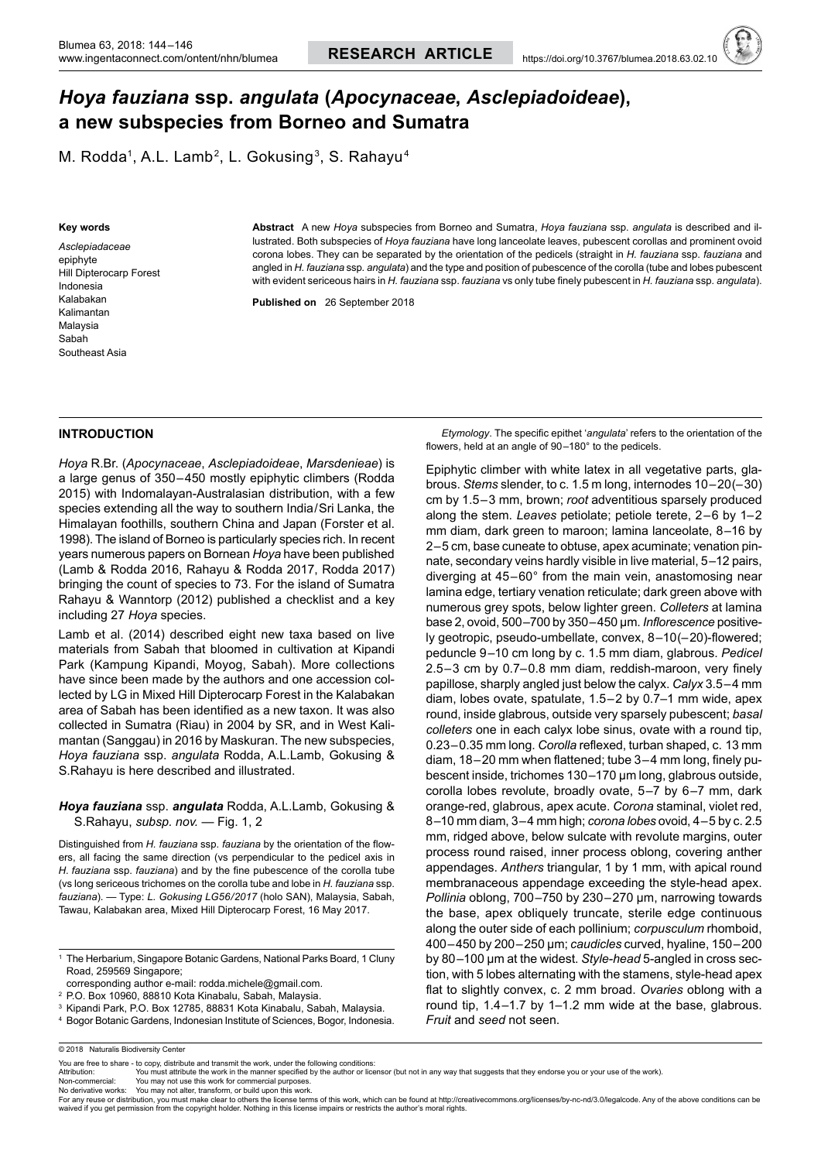# *Hoya fauziana* **ssp.** *angulata* **(***Apocynaceae***,** *Asclepiadoideae***), a new subspecies from Borneo and Sumatra**

M. Rodda<sup>1</sup>, A.L. Lamb<sup>2</sup>, L. Gokusing<sup>3</sup>, S. Rahayu<sup>4</sup>

#### **Key words**

*Asclepiadaceae* epiphyte Hill Dipterocarp Forest Indonesia Kalabakan Kalimantan Malaysia Sabah Southeast Asia

**Abstract** A new *Hoya* subspecies from Borneo and Sumatra, *Hoya fauziana* ssp*. angulata* is described and illustrated. Both subspecies of *Hoya fauziana* have long lanceolate leaves, pubescent corollas and prominent ovoid corona lobes. They can be separated by the orientation of the pedicels (straight in *H. fauziana* ssp. *fauziana* and angled in *H. fauziana* ssp*. angulata*) and the type and position of pubescence of the corolla (tube and lobes pubescent with evident sericeous hairs in *H. fauziana* ssp. *fauziana* vs only tube finely pubescent in *H. fauziana* ssp*. angulata*).

**Published on**   26 September 2018

### **INTRODUCTION**

*Hoya* R.Br. (*Apocynaceae*, *Asclepiadoideae*, *Marsdenieae*) is a large genus of 350–450 mostly epiphytic climbers (Rodda 2015) with Indomalayan-Australasian distribution, with a few species extending all the way to southern India/Sri Lanka, the Himalayan foothills, southern China and Japan (Forster et al. 1998). The island of Borneo is particularly species rich. In recent years numerous papers on Bornean *Hoya* have been published (Lamb & Rodda 2016, Rahayu & Rodda 2017, Rodda 2017) bringing the count of species to 73. For the island of Sumatra Rahayu & Wanntorp (2012) published a checklist and a key including 27 *Hoya* species.

Lamb et al. (2014) described eight new taxa based on live materials from Sabah that bloomed in cultivation at Kipandi Park (Kampung Kipandi, Moyog, Sabah). More collections have since been made by the authors and one accession collected by LG in Mixed Hill Dipterocarp Forest in the Kalabakan area of Sabah has been identified as a new taxon. It was also collected in Sumatra (Riau) in 2004 by SR, and in West Kalimantan (Sanggau) in 2016 by Maskuran. The new subspecies, *Hoya fauziana* ssp. *angulata* Rodda, A.L.Lamb, Gokusing & S.Rahayu is here described and illustrated.

## *Hoya fauziana* ssp. *angulata* Rodda, A.L.Lamb, Gokusing & S.Rahayu, *subsp. nov.* — Fig. 1, 2

Distinguished from *H. fauziana* ssp. *fauziana* by the orientation of the flowers, all facing the same direction (vs perpendicular to the pedicel axis in *H. fauziana* ssp. *fauziana*) and by the fine pubescence of the corolla tube (vs long sericeous trichomes on the corolla tube and lobe in *H. fauziana* ssp. *fauziana*). — Type: *L. Gokusing LG56/2017* (holo SAN), Malaysia, Sabah, Tawau, Kalabakan area, Mixed Hill Dipterocarp Forest, 16 May 2017.

 *Etymology*. The specific epithet '*angulata*' refers to the orientation of the flowers, held at an angle of 90–180° to the pedicels.

Epiphytic climber with white latex in all vegetative parts, glabrous. *Stems* slender, to c. 1.5 m long, internodes 10–20(–30) cm by 1.5–3 mm, brown; *root* adventitious sparsely produced along the stem. *Leaves* petiolate; petiole terete, 2–6 by 1–2 mm diam, dark green to maroon; lamina lanceolate, 8–16 by 2–5 cm, base cuneate to obtuse, apex acuminate; venation pinnate, secondary veins hardly visible in live material, 5–12 pairs, diverging at 45–60° from the main vein, anastomosing near lamina edge, tertiary venation reticulate; dark green above with numerous grey spots, below lighter green. *Colleters* at lamina base 2, ovoid, 500–700 by 350–450 µm. *Inflorescence* positively geotropic, pseudo-umbellate, convex, 8–10(–20)-flowered; peduncle 9–10 cm long by c. 1.5 mm diam, glabrous. *Pedicel* 2.5–3 cm by 0.7–0.8 mm diam, reddish-maroon, very finely papillose, sharply angled just below the calyx. *Calyx* 3.5–4 mm diam, lobes ovate, spatulate, 1.5–2 by 0.7–1 mm wide, apex round, inside glabrous, outside very sparsely pubescent; *basal colleters* one in each calyx lobe sinus, ovate with a round tip, 0.23–0.35 mm long. *Corolla* reflexed, turban shaped, c. 13 mm diam, 18–20 mm when flattened; tube 3–4 mm long, finely pubescent inside, trichomes 130–170 µm long, glabrous outside, corolla lobes revolute, broadly ovate, 5–7 by 6–7 mm, dark orange-red, glabrous, apex acute. *Corona* staminal, violet red, 8–10 mm diam, 3–4 mm high; *corona lobes* ovoid, 4–5 by c. 2.5 mm, ridged above, below sulcate with revolute margins, outer process round raised, inner process oblong, covering anther appendages. *Anthers* triangular, 1 by 1 mm, with apical round membranaceous appendage exceeding the style-head apex. *Pollinia* oblong, 700–750 by 230–270 µm, narrowing towards the base, apex obliquely truncate, sterile edge continuous along the outer side of each pollinium; *corpusculum* rhomboid, 400–450 by 200–250 µm; *caudicles* curved, hyaline, 150–200 by 80–100 µm at the widest. *Style-head* 5-angled in cross section, with 5 lobes alternating with the stamens, style-head apex flat to slightly convex, c. 2 mm broad. *Ovaries* oblong with a round tip, 1.4–1.7 by 1–1.2 mm wide at the base, glabrous. *Fruit* and *seed* not seen.

You may not use this work for commercial purposes

No derivative works: You may not alter, transform, or build upon this work.<br>For any reuse or distribution, you must make clear to others the license terms of this work, which can be found at http://creativecommons.org/lic waived if you get permission from the copyright holder. Nothing in this license impairs or restricts the author's moral rights.

<sup>&</sup>lt;sup>1</sup> The Herbarium, Singapore Botanic Gardens, National Parks Board, 1 Cluny Road, 259569 Singapore;

corresponding author e-mail: rodda.michele@gmail.com.

<sup>2</sup> P.O. Box 10960, 88810 Kota Kinabalu, Sabah, Malaysia.

<sup>3</sup> Kipandi Park, P.O. Box 12785, 88831 Kota Kinabalu, Sabah, Malaysia.

<sup>4</sup> Bogor Botanic Gardens, Indonesian Institute of Sciences, Bogor, Indonesia.

<sup>© 2018</sup> Naturalis Biodiversity Center

You are free to share - to copy, distribute and transmit the work, under the following conditions<br>Attribution: You must attribute the work in the manner specified by the author or lice

Attribution: You must attribute the work in the manner specified by the author or licensor (but not in any way that suggests that they endorse you or your use of the work).<br>Non-commercial: You may not use this work for com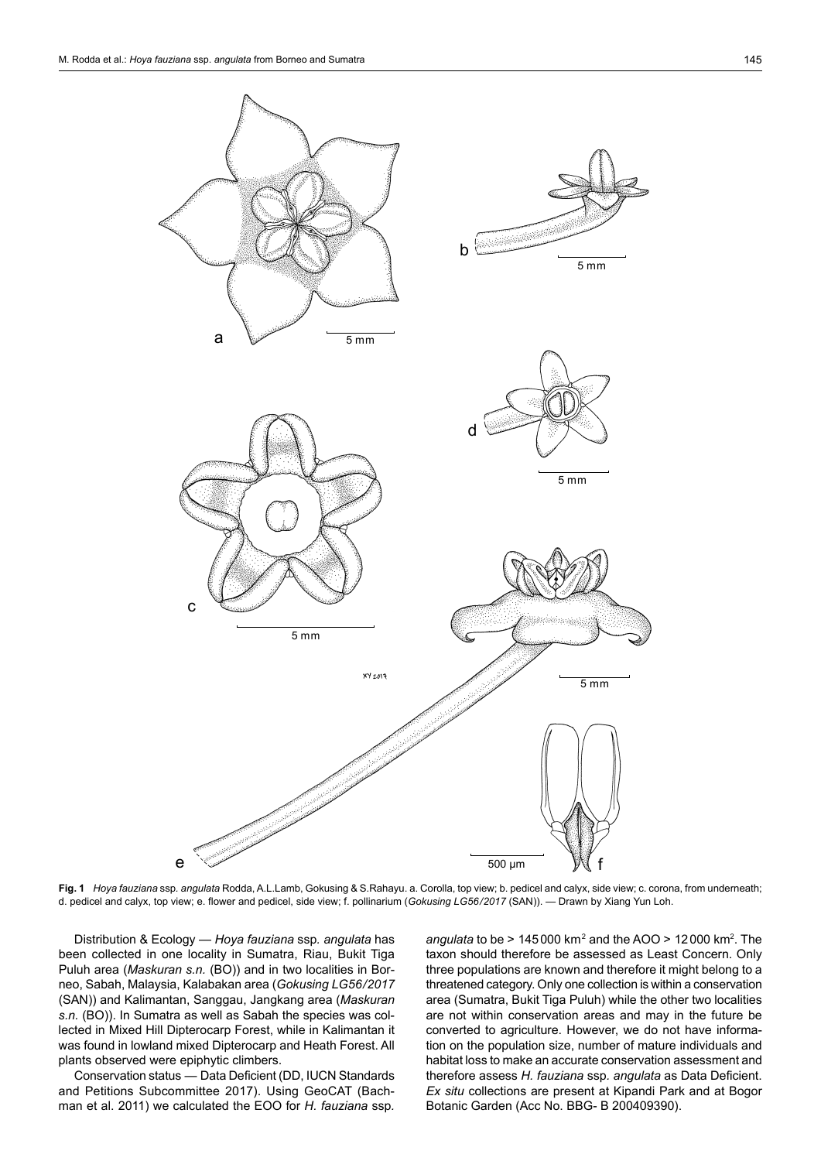

**Fig. 1** *Hoya fauziana* ssp*. angulata* Rodda,A.L.Lamb, Gokusing & S.Rahayu. a. Corolla, top view; b. pedicel and calyx, side view; c. corona, from underneath; d. pedicel and calyx, top view; e. flower and pedicel, side view; f. pollinarium (*Gokusing LG56/2017* (SAN)). — Drawn by Xiang Yun Loh.

Distribution & Ecology — *Hoya fauziana* ssp*. angulata* has been collected in one locality in Sumatra, Riau, Bukit Tiga Puluh area (*Maskuran s.n.* (BO)) and in two localities in Borneo, Sabah, Malaysia, Kalabakan area (*Gokusing LG56/2017* (SAN)) and Kalimantan, Sanggau, Jangkang area (*Maskuran s.n.* (BO)). In Sumatra as well as Sabah the species was collected in Mixed Hill Dipterocarp Forest, while in Kalimantan it was found in lowland mixed Dipterocarp and Heath Forest. All plants observed were epiphytic climbers.

Conservation status — Data Deficient (DD, IUCN Standards and Petitions Subcommittee 2017). Using GeoCAT (Bachman et al. 2011) we calculated the EOO for *H. fauziana* ssp*.* 

*angulata* to be > 145000 km<sup>2</sup> and the AOO > 12000 km<sup>2</sup> . The taxon should therefore be assessed as Least Concern. Only three populations are known and therefore it might belong to a threatened category. Only one collection is within a conservation area (Sumatra, Bukit Tiga Puluh) while the other two localities are not within conservation areas and may in the future be converted to agriculture. However, we do not have information on the population size, number of mature individuals and habitat loss to make an accurate conservation assessment and therefore assess *H. fauziana* ssp*. angulata* as Data Deficient. *Ex situ* collections are present at Kipandi Park and at Bogor Botanic Garden (Acc No. BBG- B 200409390).